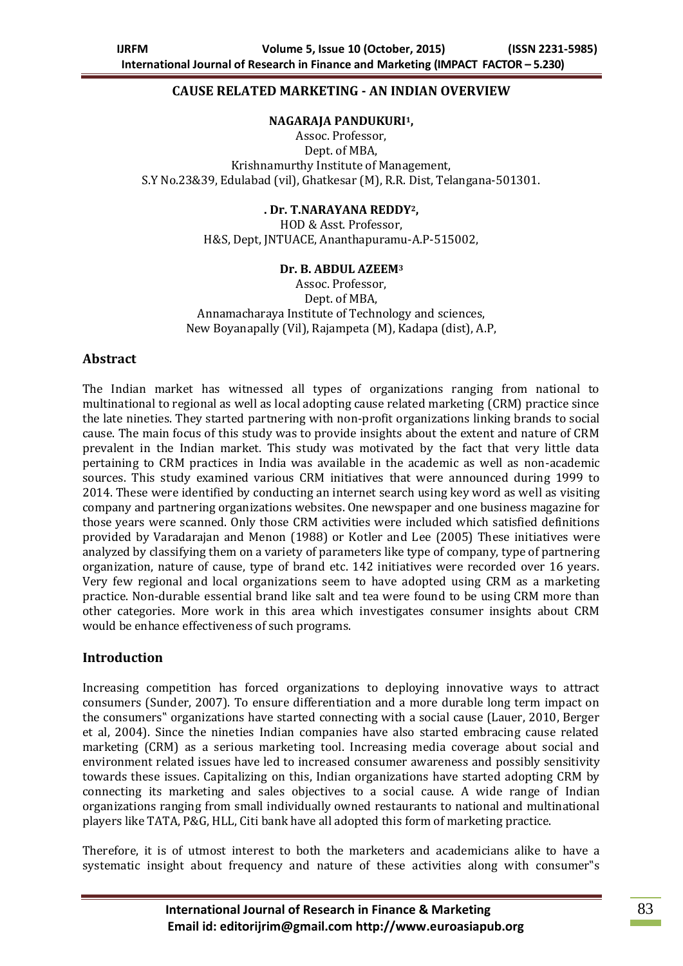### **CAUSE RELATED MARKETING - AN INDIAN OVERVIEW**

#### **NAGARAJA PANDUKURI1,**

Assoc. Professor, Dept. of MBA, Krishnamurthy Institute of Management, S.Y No.23&39, Edulabad (vil), Ghatkesar (M), R.R. Dist, Telangana-501301.

#### **. Dr. T.NARAYANA REDDY2,**

HOD & Asst. Professor, H&S, Dept, JNTUACE, Ananthapuramu-A.P-515002,

#### **Dr. B. ABDUL AZEEM<sup>3</sup>**

Assoc. Professor, Dept. of MBA, Annamacharaya Institute of Technology and sciences, New Boyanapally (Vil), Rajampeta (M), Kadapa (dist), A.P,

### **Abstract**

The Indian market has witnessed all types of organizations ranging from national to multinational to regional as well as local adopting cause related marketing (CRM) practice since the late nineties. They started partnering with non-profit organizations linking brands to social cause. The main focus of this study was to provide insights about the extent and nature of CRM prevalent in the Indian market. This study was motivated by the fact that very little data pertaining to CRM practices in India was available in the academic as well as non-academic sources. This study examined various CRM initiatives that were announced during 1999 to 2014. These were identified by conducting an internet search using key word as well as visiting company and partnering organizations websites. One newspaper and one business magazine for those years were scanned. Only those CRM activities were included which satisfied definitions provided by Varadarajan and Menon (1988) or Kotler and Lee (2005) These initiatives were analyzed by classifying them on a variety of parameters like type of company, type of partnering organization, nature of cause, type of brand etc. 142 initiatives were recorded over 16 years. Very few regional and local organizations seem to have adopted using CRM as a marketing practice. Non-durable essential brand like salt and tea were found to be using CRM more than other categories. More work in this area which investigates consumer insights about CRM would be enhance effectiveness of such programs.

### **Introduction**

Increasing competition has forced organizations to deploying innovative ways to attract consumers (Sunder, 2007). To ensure differentiation and a more durable long term impact on the consumers" organizations have started connecting with a social cause (Lauer, 2010, Berger et al, 2004). Since the nineties Indian companies have also started embracing cause related marketing (CRM) as a serious marketing tool. Increasing media coverage about social and environment related issues have led to increased consumer awareness and possibly sensitivity towards these issues. Capitalizing on this, Indian organizations have started adopting CRM by connecting its marketing and sales objectives to a social cause. A wide range of Indian organizations ranging from small individually owned restaurants to national and multinational players like TATA, P&G, HLL, Citi bank have all adopted this form of marketing practice.

Therefore, it is of utmost interest to both the marketers and academicians alike to have a systematic insight about frequency and nature of these activities along with consumer"s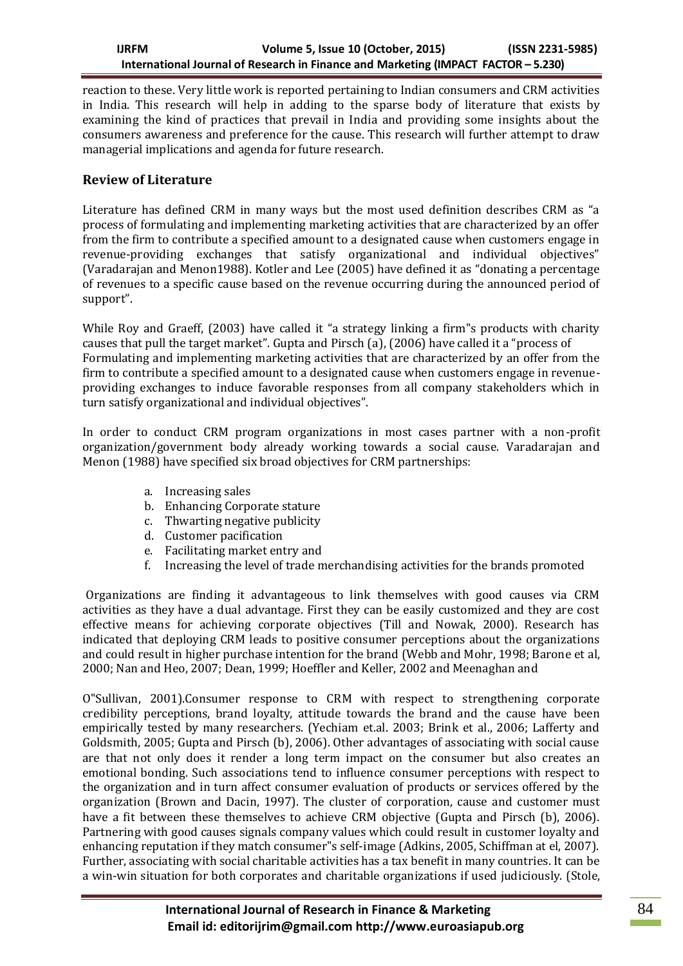reaction to these. Very little work is reported pertaining to Indian consumers and CRM activities in India. This research will help in adding to the sparse body of literature that exists by examining the kind of practices that prevail in India and providing some insights about the consumers awareness and preference for the cause. This research will further attempt to draw managerial implications and agenda for future research.

## **Review of Literature**

Literature has defined CRM in many ways but the most used definition describes CRM as "a process of formulating and implementing marketing activities that are characterized by an offer from the firm to contribute a specified amount to a designated cause when customers engage in revenue-providing exchanges that satisfy organizational and individual objectives" (Varadarajan and Menon1988). Kotler and Lee (2005) have defined it as "donating a percentage of revenues to a specific cause based on the revenue occurring during the announced period of support".

While Roy and Graeff, (2003) have called it "a strategy linking a firm"s products with charity causes that pull the target market". Gupta and Pirsch (a), (2006) have called it a "process of Formulating and implementing marketing activities that are characterized by an offer from the firm to contribute a specified amount to a designated cause when customers engage in revenueproviding exchanges to induce favorable responses from all company stakeholders which in turn satisfy organizational and individual objectives".

In order to conduct CRM program organizations in most cases partner with a non-profit organization/government body already working towards a social cause. Varadarajan and Menon (1988) have specified six broad objectives for CRM partnerships:

- a. Increasing sales
- b. Enhancing Corporate stature
- c. Thwarting negative publicity
- d. Customer pacification
- e. Facilitating market entry and
- f. Increasing the level of trade merchandising activities for the brands promoted

Organizations are finding it advantageous to link themselves with good causes via CRM activities as they have a dual advantage. First they can be easily customized and they are cost effective means for achieving corporate objectives (Till and Nowak, 2000). Research has indicated that deploying CRM leads to positive consumer perceptions about the organizations and could result in higher purchase intention for the brand (Webb and Mohr, 1998; Barone et al, 2000; Nan and Heo, 2007; Dean, 1999; Hoeffler and Keller, 2002 and Meenaghan and

O"Sullivan, 2001).Consumer response to CRM with respect to strengthening corporate credibility perceptions, brand loyalty, attitude towards the brand and the cause have been empirically tested by many researchers. (Yechiam et.al. 2003; Brink et al., 2006; Lafferty and Goldsmith, 2005; Gupta and Pirsch (b), 2006). Other advantages of associating with social cause are that not only does it render a long term impact on the consumer but also creates an emotional bonding. Such associations tend to influence consumer perceptions with respect to the organization and in turn affect consumer evaluation of products or services offered by the organization (Brown and Dacin, 1997). The cluster of corporation, cause and customer must have a fit between these themselves to achieve CRM objective (Gupta and Pirsch (b), 2006). Partnering with good causes signals company values which could result in customer loyalty and enhancing reputation if they match consumer"s self-image (Adkins, 2005, Schiffman at el, 2007). Further, associating with social charitable activities has a tax benefit in many countries. It can be a win-win situation for both corporates and charitable organizations if used judiciously. (Stole,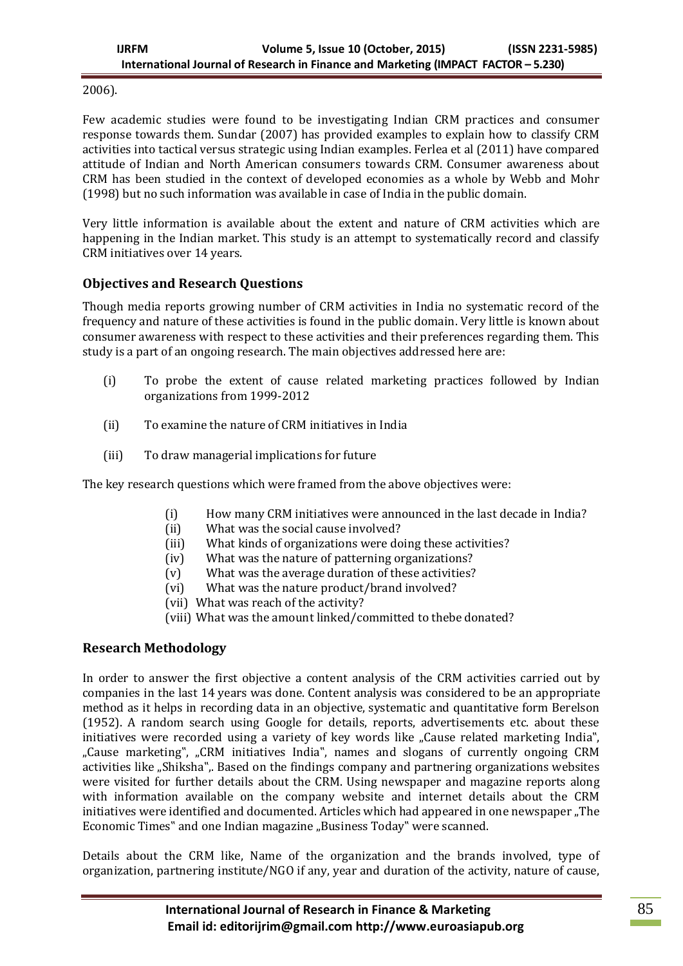2006).

Few academic studies were found to be investigating Indian CRM practices and consumer response towards them. Sundar (2007) has provided examples to explain how to classify CRM activities into tactical versus strategic using Indian examples. Ferlea et al (2011) have compared attitude of Indian and North American consumers towards CRM. Consumer awareness about CRM has been studied in the context of developed economies as a whole by Webb and Mohr (1998) but no such information was available in case of India in the public domain.

Very little information is available about the extent and nature of CRM activities which are happening in the Indian market. This study is an attempt to systematically record and classify CRM initiatives over 14 years.

# **Objectives and Research Questions**

Though media reports growing number of CRM activities in India no systematic record of the frequency and nature of these activities is found in the public domain. Very little is known about consumer awareness with respect to these activities and their preferences regarding them. This study is a part of an ongoing research. The main objectives addressed here are:

- (i) To probe the extent of cause related marketing practices followed by Indian organizations from 1999-2012
- (ii) To examine the nature of CRM initiatives in India
- (iii) To draw managerial implications for future

The key research questions which were framed from the above objectives were:

- (i) How many CRM initiatives were announced in the last decade in India?
- (ii) What was the social cause involved?
- (iii) What kinds of organizations were doing these activities?
- (iv) What was the nature of patterning organizations?
- (v) What was the average duration of these activities?
- (vi) What was the nature product/brand involved?
- (vii) What was reach of the activity?
- (viii) What was the amount linked/committed to thebe donated?

# **Research Methodology**

In order to answer the first objective a content analysis of the CRM activities carried out by companies in the last 14 years was done. Content analysis was considered to be an appropriate method as it helps in recording data in an objective, systematic and quantitative form Berelson (1952). A random search using Google for details, reports, advertisements etc. about these initiatives were recorded using a variety of key words like ...Cause related marketing India". "Cause marketing", "CRM initiatives India", names and slogans of currently ongoing CRM activities like "Shiksha",. Based on the findings company and partnering organizations websites were visited for further details about the CRM. Using newspaper and magazine reports along with information available on the company website and internet details about the CRM initiatives were identified and documented. Articles which had appeared in one newspaper "The Economic Times" and one Indian magazine "Business Today" were scanned.

Details about the CRM like, Name of the organization and the brands involved, type of organization, partnering institute/NGO if any, year and duration of the activity, nature of cause,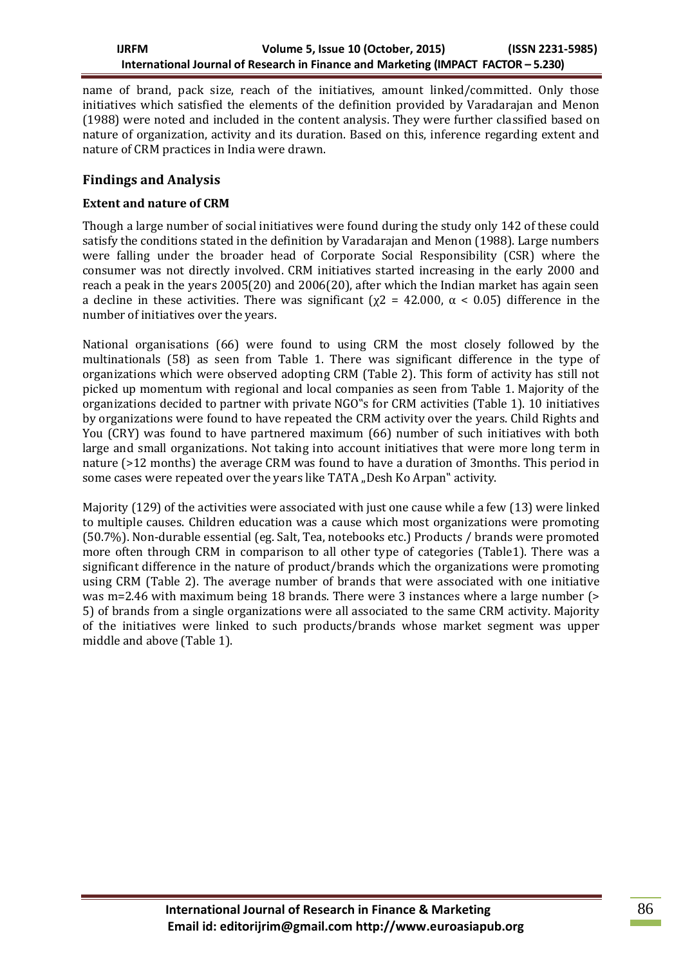name of brand, pack size, reach of the initiatives, amount linked/committed. Only those initiatives which satisfied the elements of the definition provided by Varadarajan and Menon (1988) were noted and included in the content analysis. They were further classified based on nature of organization, activity and its duration. Based on this, inference regarding extent and nature of CRM practices in India were drawn.

# **Findings and Analysis**

### **Extent and nature of CRM**

Though a large number of social initiatives were found during the study only 142 of these could satisfy the conditions stated in the definition by Varadarajan and Menon (1988). Large numbers were falling under the broader head of Corporate Social Responsibility (CSR) where the consumer was not directly involved. CRM initiatives started increasing in the early 2000 and reach a peak in the years 2005(20) and 2006(20), after which the Indian market has again seen a decline in these activities. There was significant ( $\chi$ 2 = 42.000,  $\alpha$  < 0.05) difference in the number of initiatives over the years.

National organisations (66) were found to using CRM the most closely followed by the multinationals (58) as seen from Table 1. There was significant difference in the type of organizations which were observed adopting CRM (Table 2). This form of activity has still not picked up momentum with regional and local companies as seen from Table 1. Majority of the organizations decided to partner with private NGO"s for CRM activities (Table 1). 10 initiatives by organizations were found to have repeated the CRM activity over the years. Child Rights and You (CRY) was found to have partnered maximum (66) number of such initiatives with both large and small organizations. Not taking into account initiatives that were more long term in nature (>12 months) the average CRM was found to have a duration of 3months. This period in some cases were repeated over the years like TATA "Desh Ko Arpan" activity.

Majority (129) of the activities were associated with just one cause while a few (13) were linked to multiple causes. Children education was a cause which most organizations were promoting (50.7%). Non-durable essential (eg. Salt, Tea, notebooks etc.) Products / brands were promoted more often through CRM in comparison to all other type of categories (Table1). There was a significant difference in the nature of product/brands which the organizations were promoting using CRM (Table 2). The average number of brands that were associated with one initiative was m=2.46 with maximum being 18 brands. There were 3 instances where a large number (> 5) of brands from a single organizations were all associated to the same CRM activity. Majority of the initiatives were linked to such products/brands whose market segment was upper middle and above (Table 1).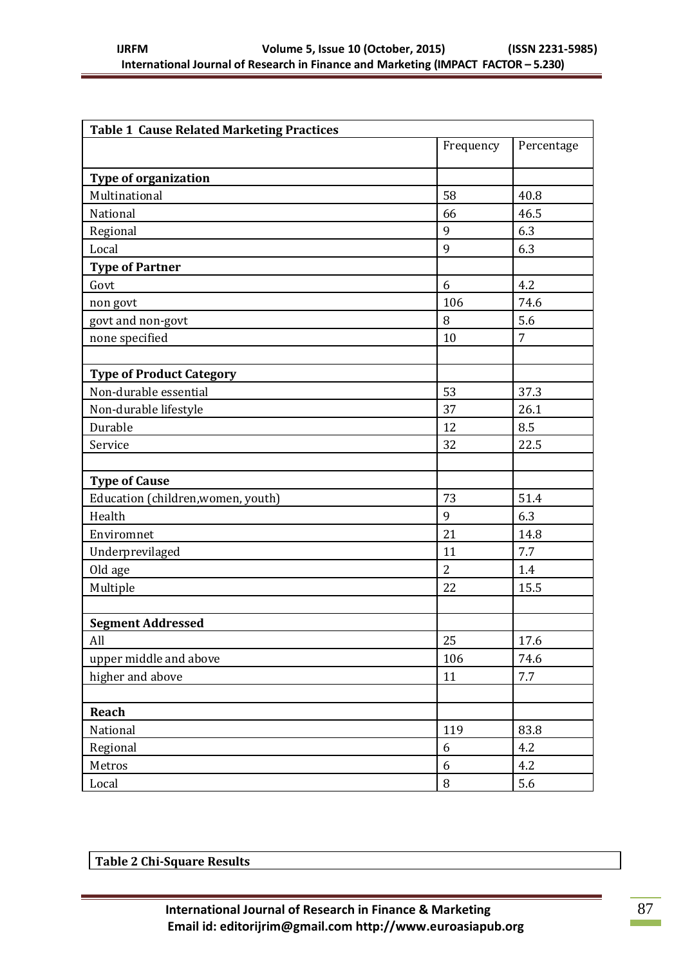| <b>Table 1 Cause Related Marketing Practices</b> |                |            |  |  |
|--------------------------------------------------|----------------|------------|--|--|
|                                                  | Frequency      | Percentage |  |  |
| <b>Type of organization</b>                      |                |            |  |  |
| Multinational                                    | 58             | 40.8       |  |  |
| National                                         | 66             | 46.5       |  |  |
| Regional                                         | 9              | 6.3        |  |  |
| Local                                            | 9              | 6.3        |  |  |
| <b>Type of Partner</b>                           |                |            |  |  |
| Govt                                             | 6              | 4.2        |  |  |
| non govt                                         | 106            | 74.6       |  |  |
| govt and non-govt                                | 8              | 5.6        |  |  |
| none specified                                   | 10             | 7          |  |  |
|                                                  |                |            |  |  |
| <b>Type of Product Category</b>                  |                |            |  |  |
| Non-durable essential                            | 53             | 37.3       |  |  |
| Non-durable lifestyle                            | 37             | 26.1       |  |  |
| Durable                                          | 12             | 8.5        |  |  |
| Service                                          | 32             | 22.5       |  |  |
|                                                  |                |            |  |  |
| <b>Type of Cause</b>                             |                |            |  |  |
| Education (children, women, youth)               | 73             | 51.4       |  |  |
| Health                                           | 9              | 6.3        |  |  |
| Enviromnet                                       | 21             | 14.8       |  |  |
| Underprevilaged                                  | 11             | 7.7        |  |  |
| Old age                                          | $\overline{2}$ | 1.4        |  |  |
| Multiple                                         | 22             | 15.5       |  |  |
|                                                  |                |            |  |  |
| <b>Segment Addressed</b>                         |                |            |  |  |
| All                                              | 25             | 17.6       |  |  |
| upper middle and above                           | 106            | 74.6       |  |  |
| higher and above                                 | 11             | 7.7        |  |  |
|                                                  |                |            |  |  |
| Reach                                            |                |            |  |  |
| National                                         | 119            | 83.8       |  |  |
| Regional                                         | 6              | 4.2        |  |  |
| Metros                                           | 6              | 4.2        |  |  |
| Local                                            | $\, 8$         | 5.6        |  |  |

| Table 2 Chi-Square Results |
|----------------------------|
|----------------------------|

 $\sim 10$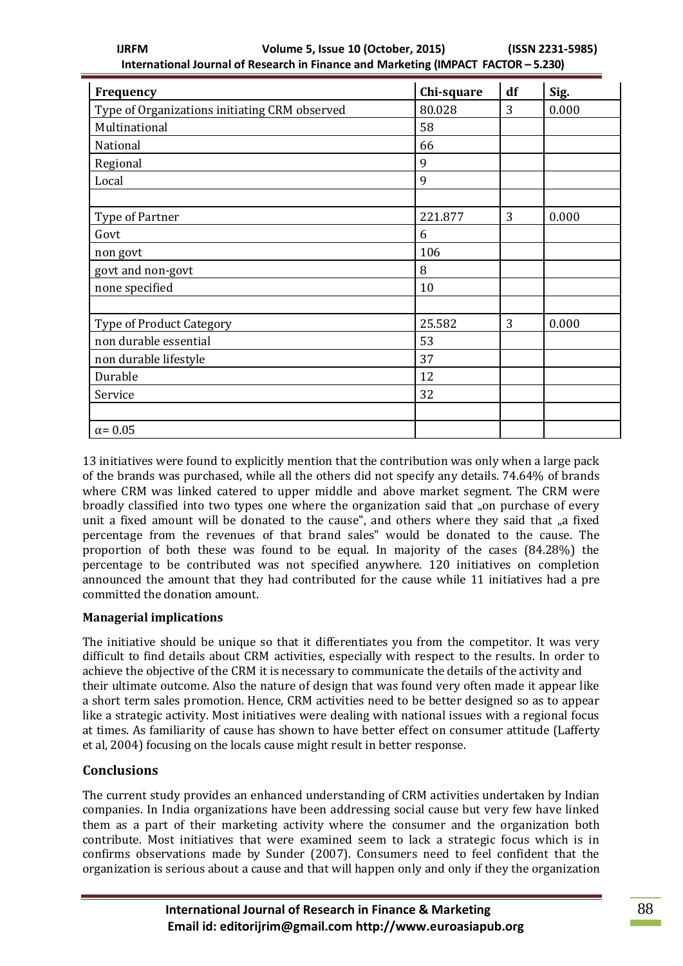| Frequency                                     | Chi-square | df | Sig.  |
|-----------------------------------------------|------------|----|-------|
| Type of Organizations initiating CRM observed | 80.028     | 3  | 0.000 |
| Multinational                                 | 58         |    |       |
| National                                      | 66         |    |       |
| Regional                                      | 9          |    |       |
| Local                                         | 9          |    |       |
|                                               |            |    |       |
| Type of Partner                               | 221.877    | 3  | 0.000 |
| Govt                                          | 6          |    |       |
| non govt                                      | 106        |    |       |
| govt and non-govt                             | 8          |    |       |
| none specified                                | 10         |    |       |
|                                               |            |    |       |
| <b>Type of Product Category</b>               | 25.582     | 3  | 0.000 |
| non durable essential                         | 53         |    |       |
| non durable lifestyle                         | 37         |    |       |
| Durable                                       | 12         |    |       |
| Service                                       | 32         |    |       |
|                                               |            |    |       |
| $\alpha$ = 0.05                               |            |    |       |

13 initiatives were found to explicitly mention that the contribution was only when a large pack of the brands was purchased, while all the others did not specify any details. 74.64% of brands where CRM was linked catered to upper middle and above market segment. The CRM were broadly classified into two types one where the organization said that "on purchase of every unit a fixed amount will be donated to the cause", and others where they said that "a fixed percentage from the revenues of that brand sales" would be donated to the cause. The proportion of both these was found to be equal. In majority of the cases (84.28%) the percentage to be contributed was not specified anywhere. 120 initiatives on completion announced the amount that they had contributed for the cause while 11 initiatives had a pre committed the donation amount.

### **Managerial implications**

The initiative should be unique so that it differentiates you from the competitor. It was very difficult to find details about CRM activities, especially with respect to the results. In order to achieve the objective of the CRM it is necessary to communicate the details of the activity and their ultimate outcome. Also the nature of design that was found very often made it appear like a short term sales promotion. Hence, CRM activities need to be better designed so as to appear like a strategic activity. Most initiatives were dealing with national issues with a regional focus at times. As familiarity of cause has shown to have better effect on consumer attitude (Lafferty et al, 2004) focusing on the locals cause might result in better response.

# **Conclusions**

The current study provides an enhanced understanding of CRM activities undertaken by Indian companies. In India organizations have been addressing social cause but very few have linked them as a part of their marketing activity where the consumer and the organization both contribute. Most initiatives that were examined seem to lack a strategic focus which is in confirms observations made by Sunder (2007). Consumers need to feel confident that the organization is serious about a cause and that will happen only and only if they the organization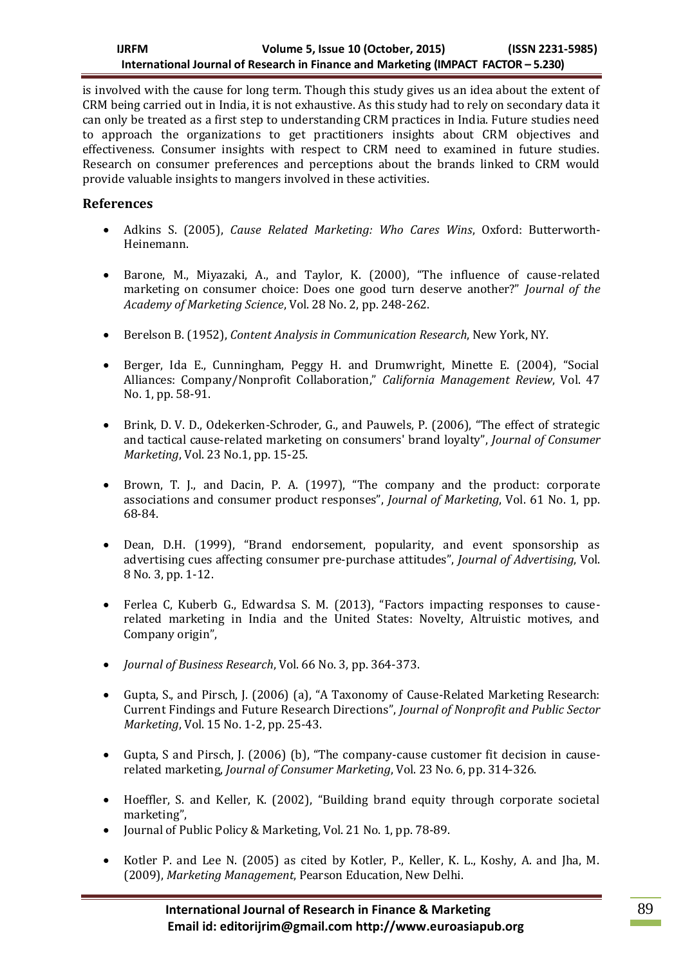is involved with the cause for long term. Though this study gives us an idea about the extent of CRM being carried out in India, it is not exhaustive. As this study had to rely on secondary data it can only be treated as a first step to understanding CRM practices in India. Future studies need to approach the organizations to get practitioners insights about CRM objectives and effectiveness. Consumer insights with respect to CRM need to examined in future studies. Research on consumer preferences and perceptions about the brands linked to CRM would provide valuable insights to mangers involved in these activities.

# **References**

- Adkins S. (2005), *Cause Related Marketing: Who Cares Wins*, Oxford: Butterworth-Heinemann.
- Barone, M., Miyazaki, A., and Taylor, K. (2000), "The influence of cause-related marketing on consumer choice: Does one good turn deserve another?" *Journal of the Academy of Marketing Science*, Vol. 28 No. 2, pp. 248-262.
- Berelson B. (1952), *Content Analysis in Communication Research*, New York, NY.
- Berger, Ida E., Cunningham, Peggy H. and Drumwright, Minette E. (2004), "Social Alliances: Company/Nonprofit Collaboration," *California Management Review*, Vol. 47 No. 1, pp. 58-91.
- Brink, D. V. D., Odekerken-Schroder, G., and Pauwels, P. (2006), "The effect of strategic and tactical cause-related marketing on consumers' brand loyalty", *Journal of Consumer Marketing*, Vol. 23 No.1, pp. 15-25.
- Brown, T. J., and Dacin, P. A. (1997), "The company and the product: corporate associations and consumer product responses", *Journal of Marketing*, Vol. 61 No. 1, pp. 68-84.
- Dean, D.H. (1999), "Brand endorsement, popularity, and event sponsorship as advertising cues affecting consumer pre-purchase attitudes", *Journal of Advertising*, Vol. 8 No. 3, pp. 1-12.
- Ferlea C, Kuberb G., Edwardsa S. M. (2013), "Factors impacting responses to causerelated marketing in India and the United States: Novelty, Altruistic motives, and Company origin",
- *Journal of Business Research*, Vol. 66 No. 3, pp. 364-373.
- Gupta, S., and Pirsch, J. (2006) (a), "A Taxonomy of Cause-Related Marketing Research: Current Findings and Future Research Directions", *Journal of Nonprofit and Public Sector Marketing*, Vol. 15 No. 1-2, pp. 25-43.
- Gupta, S and Pirsch, J. (2006) (b), "The company-cause customer fit decision in causerelated marketing, *Journal of Consumer Marketing*, Vol. 23 No. 6, pp. 314-326.
- Hoeffler, S. and Keller, K. (2002), "Building brand equity through corporate societal marketing",
- Journal of Public Policy & Marketing, Vol. 21 No. 1, pp. 78-89.
- Kotler P. and Lee N. (2005) as cited by Kotler, P., Keller, K. L., Koshy, A. and Jha, M. (2009), *Marketing Management*, Pearson Education, New Delhi.